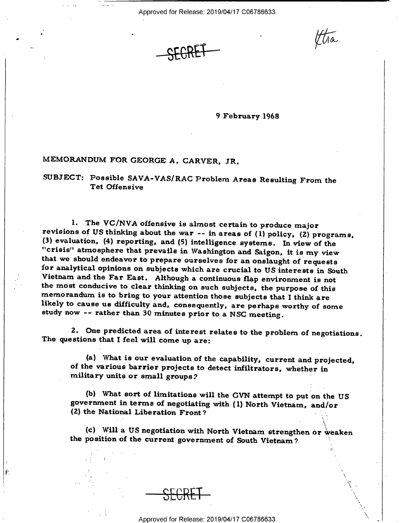Approved for Release: 2019/04/17 C06786633

 $\lambda$  $\ddot{\,}$ 

\

9 February 1968

## MEMORANDUM FOR GEORGE A. CARVER, JR.

SUBJECT: Possible SAVA-VAS/RAC Problem Areas Resulting From the Tet Offensive

1. The VC/NVA offensive is almost certain to produce major<br>revisions of US thinking about the war -- in areas of (1) policy, (2) programs,<br>(3) evaluation, (4) reporting, and (5) intelligence systems. In view of the "crisis" atmosphere that prevails in Washington and Saigon, it is my view<br>that we should endeavor to prepare ourselves for an onslaught of requests<br>for analytical opinions on subjects which are crucial to US interests in

2. One predicted area of interest relates to the problem of negotiations The questions that I feel will come up are:

(a) What is our evaluation of the capability, current and projected, of the various barrier projects to detect infiltrators, whether in military units or small groups?

(b) What sort of limitations will the GVN attempt to put on the US government in terms of negotiating with (1) North Vietnam, and/or (Z) the National Liberation Front 7 "  $\blacksquare$ 

(c) Will a US negotiation with North Vietnam strengthen or weaken the position of the current government of South Vietnam?

Ŷ.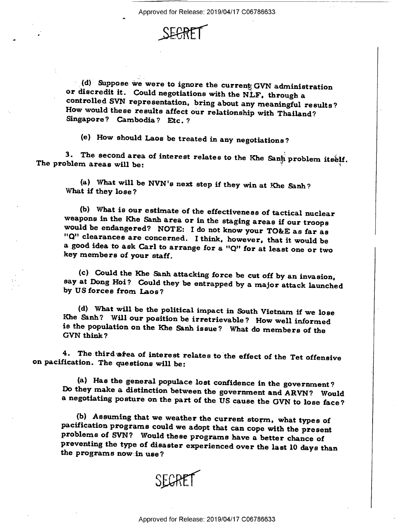

(d) Suppose we were to ignore the current GVN administration or discredit it. Could negotiations with the NLF, through a<br>controlled SVN representation, bring about any meaningful results?<br>How would these results affect our relationship with Thailand?<br>Singapore? Cambodia? Etc. ?

(e) \_How should Laos be treated in any negotiations?

3. The second area of interest relates to the Khe Santi problem itself.<br>The problem areas will be:

(a) What will be NVN's next step if they win at Khe Sanh? What if they lose?

(b) What is our estimate of the effectiveness of tactical nuclear<br>weapons in the Khe Sanh area or in the staging areas if our troops<br>would be endangered? NOTE: I do not know your TO&E as far as<br>"Q" clearances are concerne

(c) Could the Khe Sanh attacking force be cut off by an invasion, say at Dong Hoi? Could they be entrapped by a major attack launched by US forces from Laos?

(d) What will he the political impact in South Vietnam if we lose Khe &nh? Will our position be irretrievable ? How well informed is the population on the Khe Sanh issue? What do members of the GVN think?

4. The third area of interest relates to the effect of the Tet offensive on pacification. The questions will be:

(a) Has the general populace lost confidence in the government? Do they make a distinction between the government and ARVN? Would a negotiating posture on the part of the US cause the GVN to lose face?

(b) Assuming that we weather the current storm, what types of pacification programs could we adopt that can cope with the present problems of SVN? Would these programs have a better chance of preventing the type of disaste